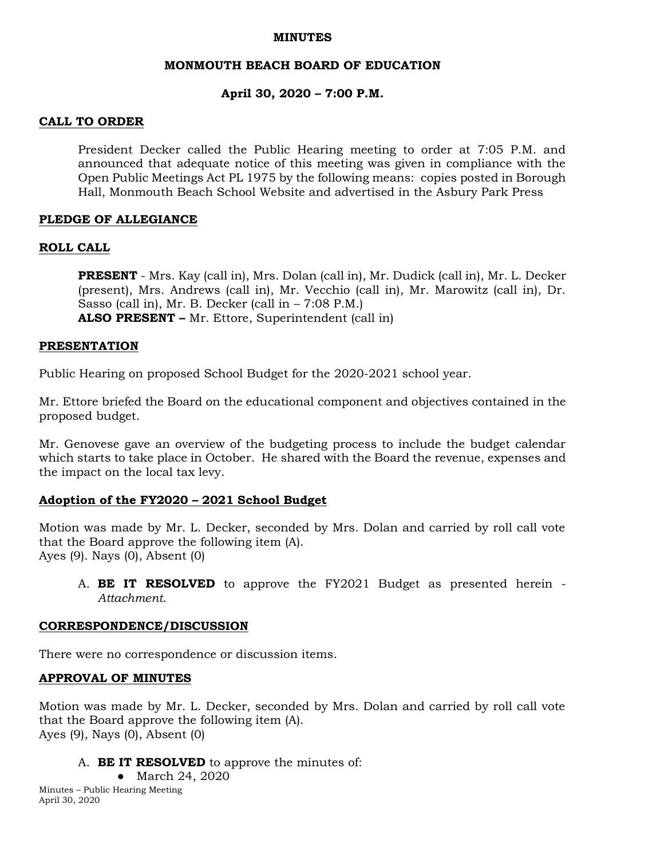#### **MINUTES**

### **MONMOUTH BEACH BOARD OF EDUCATION**

### **April 30, 2020 – 7:00 P.M.**

### **CALL TO ORDER**

President Decker called the Public Hearing meeting to order at 7:05 P.M. and announced that adequate notice of this meeting was given in compliance with the Open Public Meetings Act PL 1975 by the following means: copies posted in Borough Hall, Monmouth Beach School Website and advertised in the Asbury Park Press

## **PLEDGE OF ALLEGIANCE**

### **ROLL CALL**

**PRESENT** - Mrs. Kay (call in), Mrs. Dolan (call in), Mr. Dudick (call in), Mr. L. Decker (present), Mrs. Andrews (call in), Mr. Vecchio (call in), Mr. Marowitz (call in), Dr. Sasso (call in), Mr. B. Decker (call in – 7:08 P.M.) **ALSO PRESENT –** Mr. Ettore, Superintendent (call in)

### **PRESENTATION**

Public Hearing on proposed School Budget for the 2020-2021 school year.

Mr. Ettore briefed the Board on the educational component and objectives contained in the proposed budget.

Mr. Genovese gave an overview of the budgeting process to include the budget calendar which starts to take place in October. He shared with the Board the revenue, expenses and the impact on the local tax levy.

### **Adoption of the FY2020 – 2021 School Budget**

Motion was made by Mr. L. Decker, seconded by Mrs. Dolan and carried by roll call vote that the Board approve the following item (A). Ayes (9). Nays (0), Absent (0)

A. **BE IT RESOLVED** to approve the FY2021 Budget as presented herein - *Attachment*.

### **CORRESPONDENCE/DISCUSSION**

There were no correspondence or discussion items.

#### **APPROVAL OF MINUTES**

Motion was made by Mr. L. Decker, seconded by Mrs. Dolan and carried by roll call vote that the Board approve the following item (A). Ayes (9), Nays (0), Absent (0)

- A. **BE IT RESOLVED** to approve the minutes of:
	- March 24, 2020

Minutes – Public Hearing Meeting April 30, 2020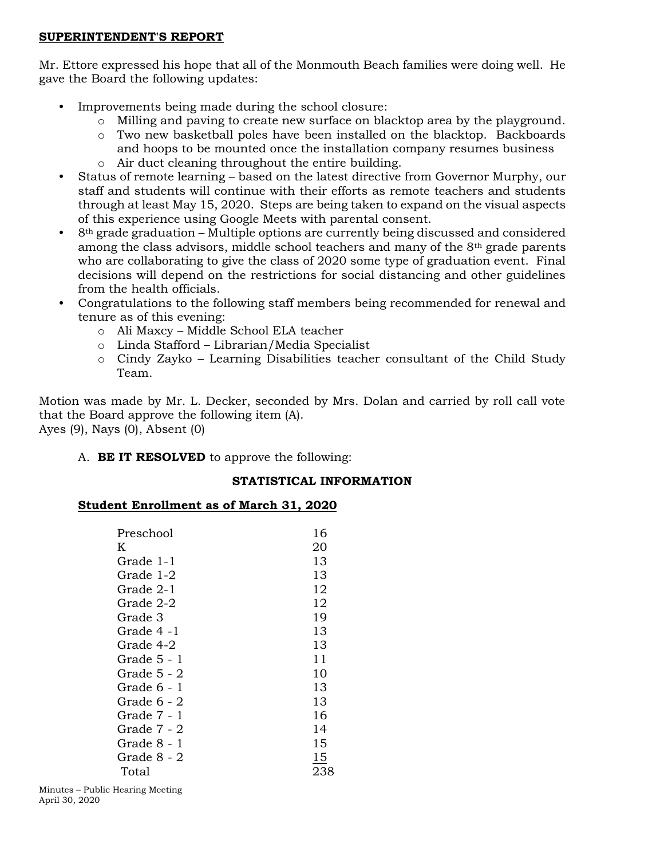### **SUPERINTENDENT'S REPORT**

Mr. Ettore expressed his hope that all of the Monmouth Beach families were doing well. He gave the Board the following updates:

- Improvements being made during the school closure:
	- o Milling and paving to create new surface on blacktop area by the playground.
	- o Two new basketball poles have been installed on the blacktop. Backboards and hoops to be mounted once the installation company resumes business o Air duct cleaning throughout the entire building.
- Status of remote learning based on the latest directive from Governor Murphy, our staff and students will continue with their efforts as remote teachers and students through at least May 15, 2020. Steps are being taken to expand on the visual aspects of this experience using Google Meets with parental consent.
- 8th grade graduation Multiple options are currently being discussed and considered among the class advisors, middle school teachers and many of the  $8<sup>th</sup>$  grade parents who are collaborating to give the class of 2020 some type of graduation event. Final decisions will depend on the restrictions for social distancing and other guidelines from the health officials.
- Congratulations to the following staff members being recommended for renewal and tenure as of this evening:
	- o Ali Maxcy Middle School ELA teacher
	- o Linda Stafford Librarian/Media Specialist
	- $\circ$  Cindy Zayko Learning Disabilities teacher consultant of the Child Study Team.

Motion was made by Mr. L. Decker, seconded by Mrs. Dolan and carried by roll call vote that the Board approve the following item (A). Ayes (9), Nays (0), Absent (0)

A. **BE IT RESOLVED** to approve the following:

# **STATISTICAL INFORMATION**

# **Student Enrollment as of March 31, 2020**

| Preschool   | 16  |
|-------------|-----|
| K           | 20  |
| Grade 1-1   | 13  |
| Grade 1-2   | 13  |
| Grade 2-1   | 12  |
| Grade 2-2   | 12  |
| Grade 3     | 19  |
| Grade 4 -1  | 13  |
| Grade 4-2   | 13  |
| Grade 5 - 1 | 11  |
| Grade 5 - 2 | 10  |
| Grade 6 - 1 | 13  |
| Grade 6 - 2 | 13  |
| Grade 7 - 1 | 16  |
| Grade 7 - 2 | 14  |
| Grade 8 - 1 | 15  |
| Grade 8 - 2 | 15  |
| Total       | 238 |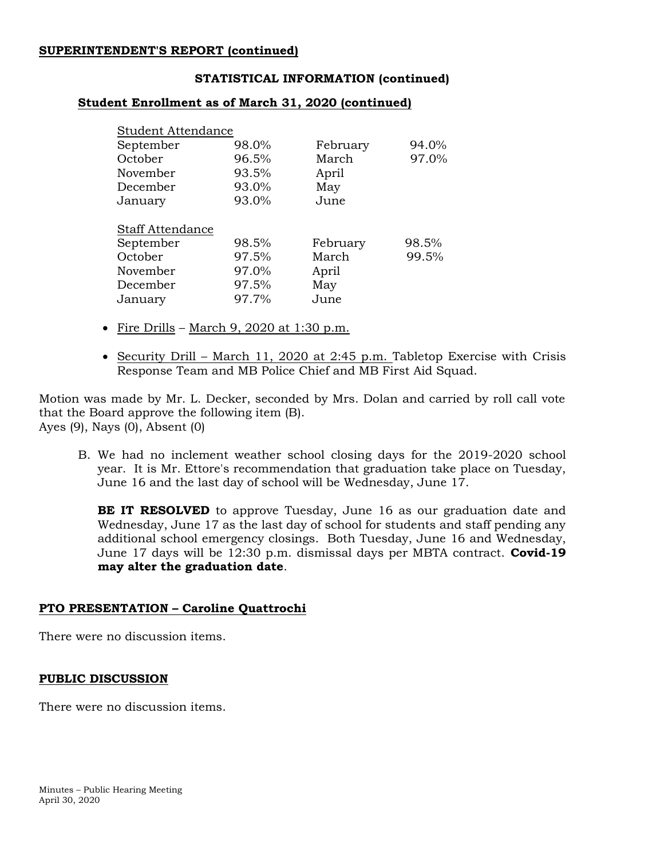### **SUPERINTENDENT'S REPORT (continued)**

#### **STATISTICAL INFORMATION (continued)**

#### **Student Enrollment as of March 31, 2020 (continued)**

| <b>Student Attendance</b> |       |          |       |
|---------------------------|-------|----------|-------|
| September                 | 98.0% | February | 94.0% |
| October                   | 96.5% | March    | 97.0% |
| November                  | 93.5% | April    |       |
| December                  | 93.0% | May      |       |
| January                   | 93.0% | June     |       |
| <b>Staff Attendance</b>   |       |          |       |
| September                 | 98.5% | February | 98.5% |
| October                   | 97.5% | March    | 99.5% |
| November                  | 97.0% | April    |       |
| December                  | 97.5% | May      |       |
| January                   | 97.7% | June     |       |

- Fire Drills March 9, 2020 at 1:30 p.m.
- Security Drill March 11, 2020 at 2:45 p.m. Tabletop Exercise with Crisis Response Team and MB Police Chief and MB First Aid Squad.

Motion was made by Mr. L. Decker, seconded by Mrs. Dolan and carried by roll call vote that the Board approve the following item (B). Ayes (9), Nays (0), Absent (0)

B. We had no inclement weather school closing days for the 2019-2020 school year. It is Mr. Ettore's recommendation that graduation take place on Tuesday, June 16 and the last day of school will be Wednesday, June 17.

**BE IT RESOLVED** to approve Tuesday, June 16 as our graduation date and Wednesday, June 17 as the last day of school for students and staff pending any additional school emergency closings. Both Tuesday, June 16 and Wednesday, June 17 days will be 12:30 p.m. dismissal days per MBTA contract. **Covid-19 may alter the graduation date**.

### **PTO PRESENTATION – Caroline Quattrochi**

There were no discussion items.

#### **PUBLIC DISCUSSION**

There were no discussion items.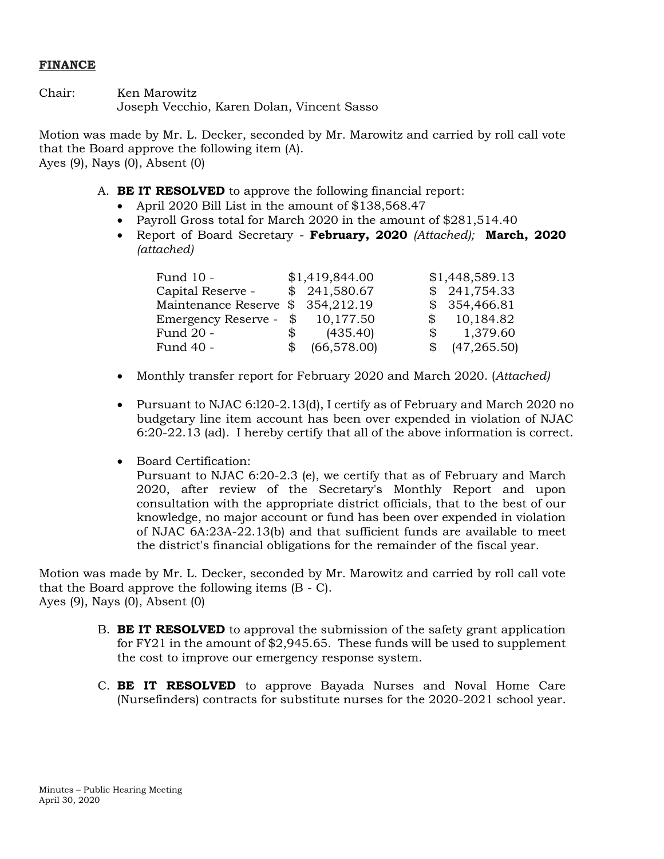## **FINANCE**

Chair: Ken Marowitz Joseph Vecchio, Karen Dolan, Vincent Sasso

Motion was made by Mr. L. Decker, seconded by Mr. Marowitz and carried by roll call vote that the Board approve the following item (A). Ayes (9), Nays (0), Absent (0)

- A. **BE IT RESOLVED** to approve the following financial report:
	- April 2020 Bill List in the amount of \$138,568.47
	- Payroll Gross total for March 2020 in the amount of \$281,514.40
	- Report of Board Secretary **February, 2020** *(Attached);* **March, 2020**  *(attached)*

| Fund 10 -                         |              | \$1,419,844.00  |              | \$1,448,589.13            |
|-----------------------------------|--------------|-----------------|--------------|---------------------------|
| Capital Reserve -                 |              | \$241,580.67    |              | \$241,754.33              |
| Maintenance Reserve \$ 354,212.19 |              |                 |              | \$354,466.81              |
| Emergency Reserve -               |              | \$10,177.50     |              | \$10,184.82               |
| Fund 20 -                         | $\mathbb{S}$ | (435.40)        | $\mathbb{S}$ | 1,379.60                  |
| Fund 40 -                         |              | $$$ (66,578.00) |              | $\frac{1}{2}$ (47,265.50) |

- Monthly transfer report for February 2020 and March 2020. (*Attached)*
- Pursuant to NJAC 6:l20-2.13(d), I certify as of February and March 2020 no budgetary line item account has been over expended in violation of NJAC 6:20-22.13 (ad). I hereby certify that all of the above information is correct.
- Board Certification:

Pursuant to NJAC 6:20-2.3 (e), we certify that as of February and March 2020, after review of the Secretary's Monthly Report and upon consultation with the appropriate district officials, that to the best of our knowledge, no major account or fund has been over expended in violation of NJAC 6A:23A-22.13(b) and that sufficient funds are available to meet the district's financial obligations for the remainder of the fiscal year.

Motion was made by Mr. L. Decker, seconded by Mr. Marowitz and carried by roll call vote that the Board approve the following items (B - C). Ayes (9), Nays (0), Absent (0)

- B. **BE IT RESOLVED** to approval the submission of the safety grant application for FY21 in the amount of \$2,945.65. These funds will be used to supplement the cost to improve our emergency response system.
- C. **BE IT RESOLVED** to approve Bayada Nurses and Noval Home Care (Nursefinders) contracts for substitute nurses for the 2020-2021 school year.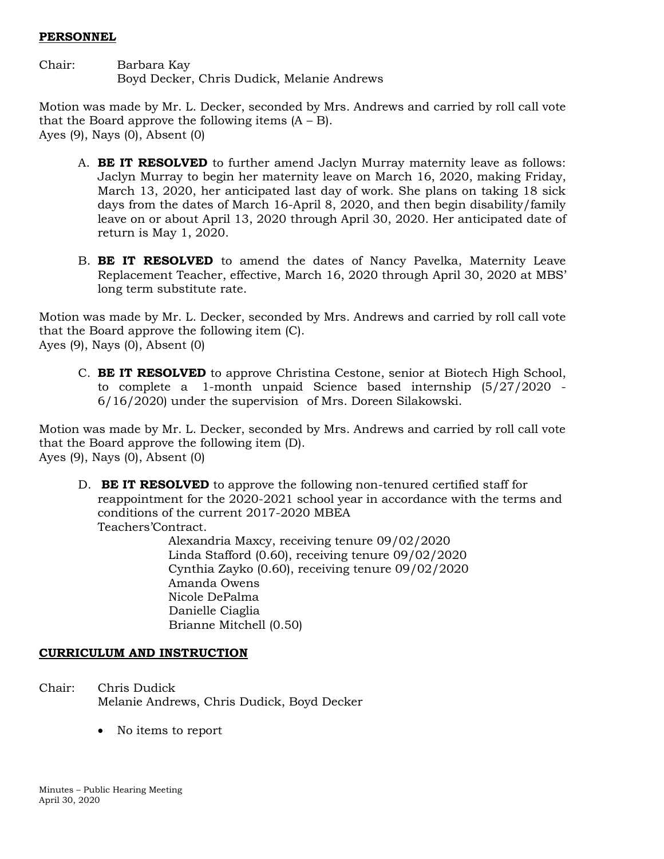### **PERSONNEL**

Chair: Barbara Kay Boyd Decker, Chris Dudick, Melanie Andrews

Motion was made by Mr. L. Decker, seconded by Mrs. Andrews and carried by roll call vote that the Board approve the following items  $(A - B)$ . Ayes (9), Nays (0), Absent (0)

- A. **BE IT RESOLVED** to further amend Jaclyn Murray maternity leave as follows: Jaclyn Murray to begin her maternity leave on March 16, 2020, making Friday, March 13, 2020, her anticipated last day of work. She plans on taking 18 sick days from the dates of March 16-April 8, 2020, and then begin disability/family leave on or about April 13, 2020 through April 30, 2020. Her anticipated date of return is May 1, 2020.
- B. **BE IT RESOLVED** to amend the dates of Nancy Pavelka, Maternity Leave Replacement Teacher, effective, March 16, 2020 through April 30, 2020 at MBS' long term substitute rate.

Motion was made by Mr. L. Decker, seconded by Mrs. Andrews and carried by roll call vote that the Board approve the following item (C). Ayes (9), Nays (0), Absent (0)

C. **BE IT RESOLVED** to approve Christina Cestone, senior at Biotech High School, to complete a 1-month unpaid Science based internship (5/27/2020 - 6/16/2020) under the supervision of Mrs. Doreen Silakowski.

Motion was made by Mr. L. Decker, seconded by Mrs. Andrews and carried by roll call vote that the Board approve the following item (D). Ayes (9), Nays (0), Absent (0)

D. **BE IT RESOLVED** to approve the following non-tenured certified staff for reappointment for the 2020-2021 school year in accordance with the terms and conditions of the current 2017-2020 MBEA Teachers'Contract.

> Alexandria Maxcy, receiving tenure 09/02/2020 Linda Stafford (0.60), receiving tenure 09/02/2020 Cynthia Zayko (0.60), receiving tenure 09/02/2020 Amanda Owens Nicole DePalma Danielle Ciaglia Brianne Mitchell (0.50)

# **CURRICULUM AND INSTRUCTION**

- Chair: Chris Dudick Melanie Andrews, Chris Dudick, Boyd Decker
	- No items to report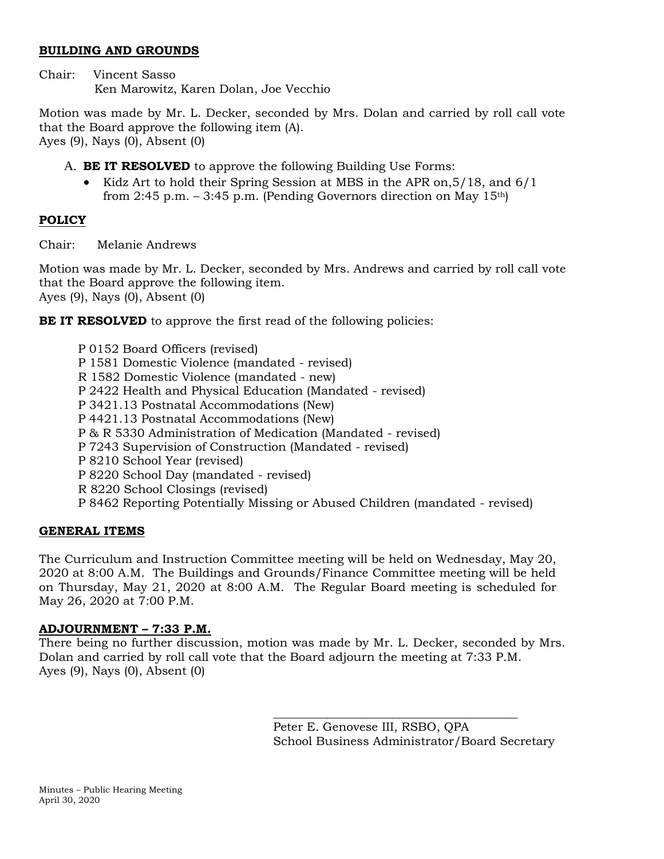# **BUILDING AND GROUNDS**

Chair: Vincent Sasso Ken Marowitz, Karen Dolan, Joe Vecchio

Motion was made by Mr. L. Decker, seconded by Mrs. Dolan and carried by roll call vote that the Board approve the following item (A). Ayes (9), Nays (0), Absent (0)

A. **BE IT RESOLVED** to approve the following Building Use Forms:

 Kidz Art to hold their Spring Session at MBS in the APR on,5/18, and 6/1 from 2:45 p.m.  $-$  3:45 p.m. (Pending Governors direction on May 15<sup>th</sup>)

# **POLICY**

Chair: Melanie Andrews

Motion was made by Mr. L. Decker, seconded by Mrs. Andrews and carried by roll call vote that the Board approve the following item. Ayes (9), Nays (0), Absent (0)

**BE IT RESOLVED** to approve the first read of the following policies:

# **GENERAL ITEMS**

The Curriculum and Instruction Committee meeting will be held on Wednesday, May 20, 2020 at 8:00 A.M. The Buildings and Grounds/Finance Committee meeting will be held on Thursday, May 21, 2020 at 8:00 A.M. The Regular Board meeting is scheduled for May 26, 2020 at 7:00 P.M.

# **ADJOURNMENT – 7:33 P.M.**

There being no further discussion, motion was made by Mr. L. Decker, seconded by Mrs. Dolan and carried by roll call vote that the Board adjourn the meeting at 7:33 P.M. Ayes (9), Nays (0), Absent (0)

> Peter E. Genovese III, RSBO, QPA School Business Administrator/Board Secretary

\_\_\_\_\_\_\_\_\_\_\_\_\_\_\_\_\_\_\_\_\_\_\_\_\_\_\_\_\_\_\_\_\_\_\_\_\_\_\_\_\_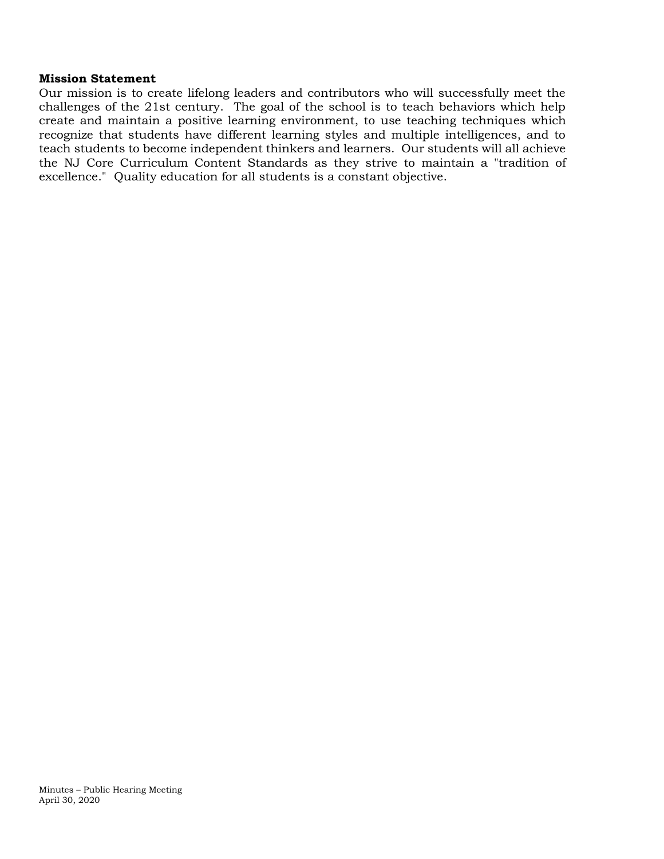#### **Mission Statement**

Our mission is to create lifelong leaders and contributors who will successfully meet the challenges of the 21st century. The goal of the school is to teach behaviors which help create and maintain a positive learning environment, to use teaching techniques which recognize that students have different learning styles and multiple intelligences, and to teach students to become independent thinkers and learners. Our students will all achieve the NJ Core Curriculum Content Standards as they strive to maintain a "tradition of excellence." Quality education for all students is a constant objective.